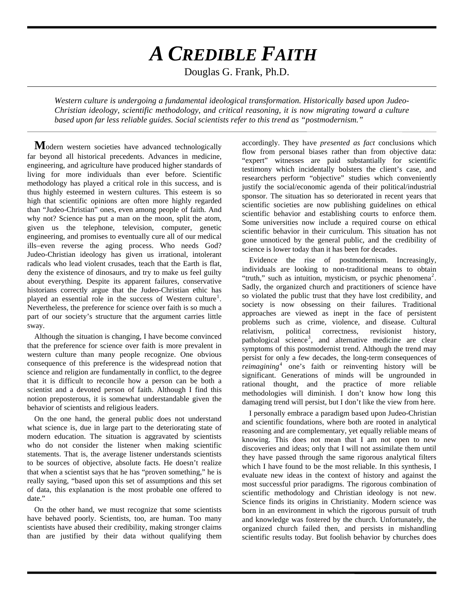## *A CREDIBLE FAITH*

Douglas G. Frank, Ph.D.

*Western culture is undergoing a fundamental ideological transformation. Historically based upon Judeo-Christian ideology, scientific methodology, and critical reasoning, it is now migrating toward a culture based upon far less reliable guides. Social scientists refer to this trend as "postmodernism."* 

**M**odern western societies have advanced technologically far beyond all historical precedents. Advances in medicine, engineering, and agriculture have produced higher standards of living for more individuals than ever before. Scientific methodology has played a critical role in this success, and is thus highly esteemed in western cultures. This esteem is so high that scientific opinions are often more highly regarded than "Judeo-Christian" ones, even among people of faith. And why not? Science has put a man on the moon, split the atom, given us the telephone, television, computer, genetic engineering, and promises to eventually cure all of our medical ills−even reverse the aging process. Who needs God? Judeo-Christian ideology has given us irrational, intolerant radicals who lead violent crusades, teach that the Earth is flat, deny the existence of dinosaurs, and try to make us feel guilty about everything. Despite its apparent failures, conservative historians correctly argue that the Judeo-Christian ethic has played an essential role in the success of Western culture<sup>[1](#page-1-0)</sup>. Nevertheless, the preference for science over faith is so much a part of our society's structure that the argument carries little sway.

Although the situation is changing, I have become convinced that the preference for science over faith is more prevalent in western culture than many people recognize. One obvious consequence of this preference is the widespread notion that science and religion are fundamentally in conflict, to the degree that it is difficult to reconcile how a person can be both a scientist and a devoted person of faith. Although I find this notion preposterous, it is somewhat understandable given the behavior of scientists and religious leaders.

On the one hand, the general public does not understand what science is, due in large part to the deteriorating state of modern education. The situation is aggravated by scientists who do not consider the listener when making scientific statements. That is, the average listener understands scientists to be sources of objective, absolute facts. He doesn't realize that when a scientist says that he has "proven something," he is really saying, "based upon this set of assumptions and this set of data, this explanation is the most probable one offered to date."

On the other hand, we must recognize that some scientists have behaved poorly. Scientists, too, are human. Too many scientists have abused their credibility, making stronger claims than are justified by their data without qualifying them accordingly. They have *presented as fact* conclusions which flow from personal biases rather than from objective data: "expert" witnesses are paid substantially for scientific testimony which incidentally bolsters the client's case, and researchers perform "objective" studies which conveniently justify the social/economic agenda of their political/industrial sponsor. The situation has so deteriorated in recent years that scientific societies are now publishing guidelines on ethical scientific behavior and establishing courts to enforce them. Some universities now include a required course on ethical scientific behavior in their curriculum. This situation has not gone unnoticed by the general public, and the credibility of science is lower today than it has been for decades.

Evidence the rise of postmodernism. Increasingly, individuals are looking to non-traditional means to obtain "truth," such as intuition, mysticism, or psychic phenomena<sup>[2](#page-1-1)</sup>. Sadly, the organized church and practitioners of science have so violated the public trust that they have lost credibility, and society is now obsessing on their failures. Traditional approaches are viewed as inept in the face of persistent problems such as crime, violence, and disease. Cultural relativism, political correctness, revisionist history, pathological science<sup>[3](#page-1-2)</sup>, and alternative medicine are clear symptoms of this postmodernist trend. Although the trend may persist for only a few decades, the long-term consequences of *reimagining*<sup>[4](#page-1-3)</sup> one's faith or reinventing history will be significant. Generations of minds will be ungrounded in rational thought, and the practice of more reliable methodologies will diminish. I don't know how long this damaging trend will persist, but I don't like the view from here.

I personally embrace a paradigm based upon Judeo-Christian and scientific foundations, where both are rooted in analytical reasoning and are complementary, yet equally reliable means of knowing. This does not mean that I am not open to new discoveries and ideas; only that I will not assimilate them until they have passed through the same rigorous analytical filters which I have found to be the most reliable. In this synthesis, I evaluate new ideas in the context of history and against the most successful prior paradigms. The rigorous combination of scientific methodology and Christian ideology is not new. Science finds its origins in Christianity. Modern science was born in an environment in which the rigorous pursuit of truth and knowledge was fostered by the church. Unfortunately, the organized church failed then, and persists in mishandling scientific results today. But foolish behavior by churches does